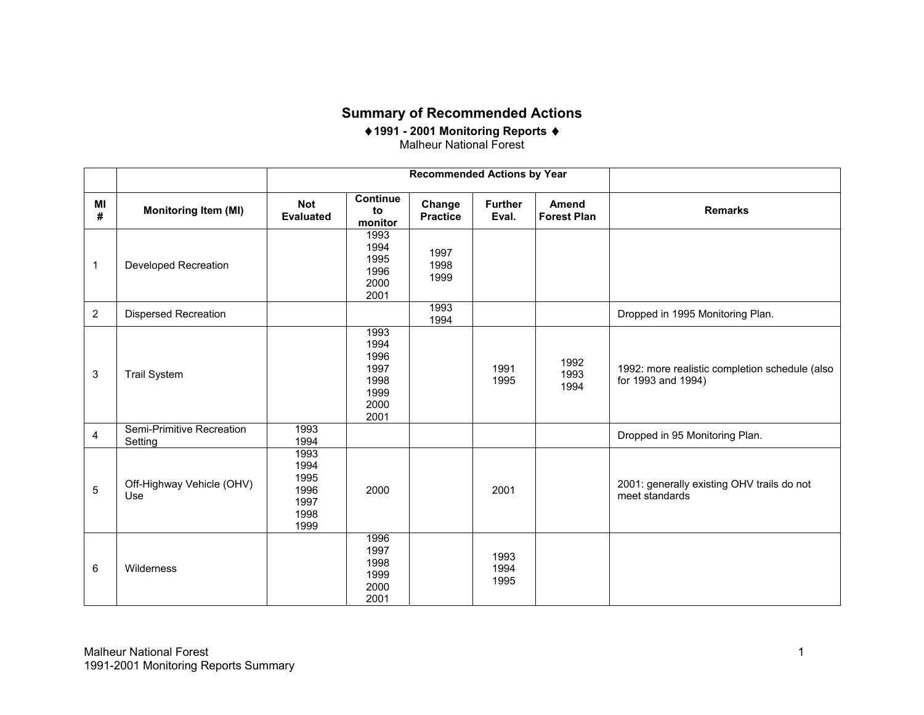## **Summary of Recommended Actions**

♦**1991 - 2001 Monitoring Reports**  ♦ Malheur National Forest

|                         |                                      |                                                              | <b>Recommended Actions by Year</b> |                         |                             |                                                                      |
|-------------------------|--------------------------------------|--------------------------------------------------------------|------------------------------------|-------------------------|-----------------------------|----------------------------------------------------------------------|
| MI<br>#                 | <b>Monitoring Item (MI)</b>          | Continue<br><b>Not</b><br>to<br><b>Evaluated</b><br>monitor  | Change<br><b>Practice</b>          | <b>Further</b><br>Eval. | Amend<br><b>Forest Plan</b> | <b>Remarks</b>                                                       |
| $\mathbf 1$             | <b>Developed Recreation</b>          | 1993<br>1994<br>1995<br>1996<br>2000<br>2001                 | 1997<br>1998<br>1999               |                         |                             |                                                                      |
| $\overline{2}$          | <b>Dispersed Recreation</b>          |                                                              | 1993<br>1994                       |                         |                             | Dropped in 1995 Monitoring Plan.                                     |
| 3                       | <b>Trail System</b>                  | 1993<br>1994<br>1996<br>1997<br>1998<br>1999<br>2000<br>2001 |                                    | 1991<br>1995            | 1992<br>1993<br>1994        | 1992: more realistic completion schedule (also<br>for 1993 and 1994) |
| $\overline{\mathbf{4}}$ | Semi-Primitive Recreation<br>Setting | 1993<br>1994                                                 |                                    |                         |                             | Dropped in 95 Monitoring Plan.                                       |
| $\sqrt{5}$              | Off-Highway Vehicle (OHV)<br>Use     | 1993<br>1994<br>1995<br>1996<br>2000<br>1997<br>1998<br>1999 |                                    | 2001                    |                             | 2001: generally existing OHV trails do not<br>meet standards         |
| 6                       | Wilderness                           | 1996<br>1997<br>1998<br>1999<br>2000<br>2001                 |                                    | 1993<br>1994<br>1995    |                             |                                                                      |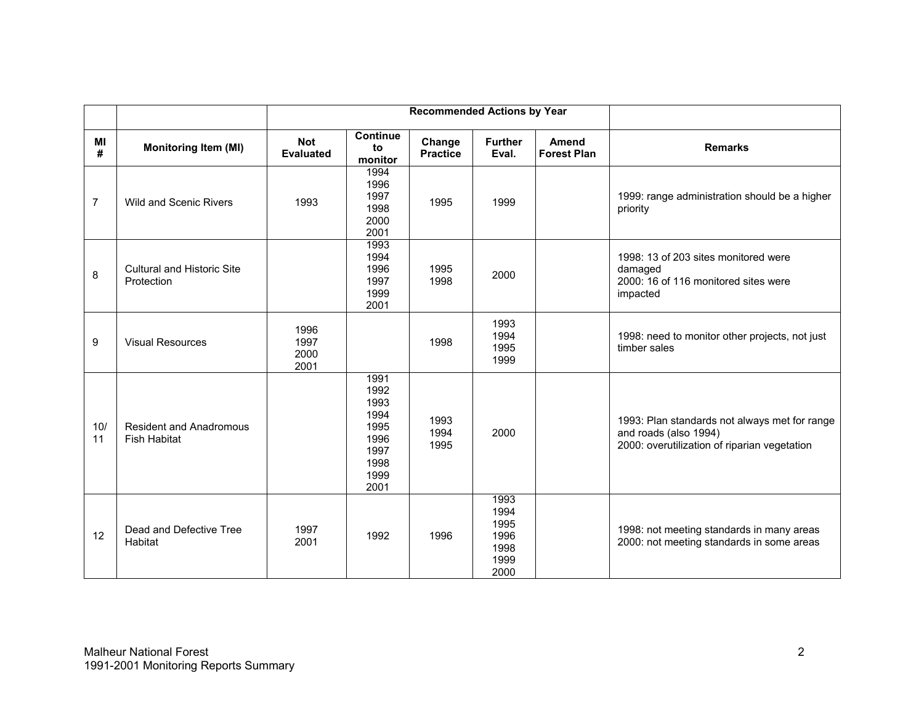|                |                                                       |                                |                                                                              | <b>Recommended Actions by Year</b> |                                                      |                                    |                                                                                                                        |
|----------------|-------------------------------------------------------|--------------------------------|------------------------------------------------------------------------------|------------------------------------|------------------------------------------------------|------------------------------------|------------------------------------------------------------------------------------------------------------------------|
| MI<br>#        | <b>Monitoring Item (MI)</b>                           | <b>Not</b><br><b>Evaluated</b> | <b>Continue</b><br>to<br>monitor                                             | Change<br><b>Practice</b>          | <b>Further</b><br>Eval.                              | <b>Amend</b><br><b>Forest Plan</b> | <b>Remarks</b>                                                                                                         |
| $\overline{7}$ | Wild and Scenic Rivers                                | 1993                           | 1994<br>1996<br>1997<br>1998<br>2000<br>2001                                 | 1995                               | 1999                                                 |                                    | 1999: range administration should be a higher<br>priority                                                              |
| 8              | <b>Cultural and Historic Site</b><br>Protection       |                                | 1993<br>1994<br>1996<br>1997<br>1999<br>2001                                 | 1995<br>1998                       | 2000                                                 |                                    | 1998: 13 of 203 sites monitored were<br>damaged<br>2000: 16 of 116 monitored sites were<br>impacted                    |
| 9              | <b>Visual Resources</b>                               | 1996<br>1997<br>2000<br>2001   |                                                                              | 1998                               | 1993<br>1994<br>1995<br>1999                         |                                    | 1998: need to monitor other projects, not just<br>timber sales                                                         |
| 10/<br>11      | <b>Resident and Anadromous</b><br><b>Fish Habitat</b> |                                | 1991<br>1992<br>1993<br>1994<br>1995<br>1996<br>1997<br>1998<br>1999<br>2001 | 1993<br>1994<br>1995               | 2000                                                 |                                    | 1993: Plan standards not always met for range<br>and roads (also 1994)<br>2000: overutilization of riparian vegetation |
| 12             | Dead and Defective Tree<br>Habitat                    | 1997<br>2001                   | 1992                                                                         | 1996                               | 1993<br>1994<br>1995<br>1996<br>1998<br>1999<br>2000 |                                    | 1998: not meeting standards in many areas<br>2000: not meeting standards in some areas                                 |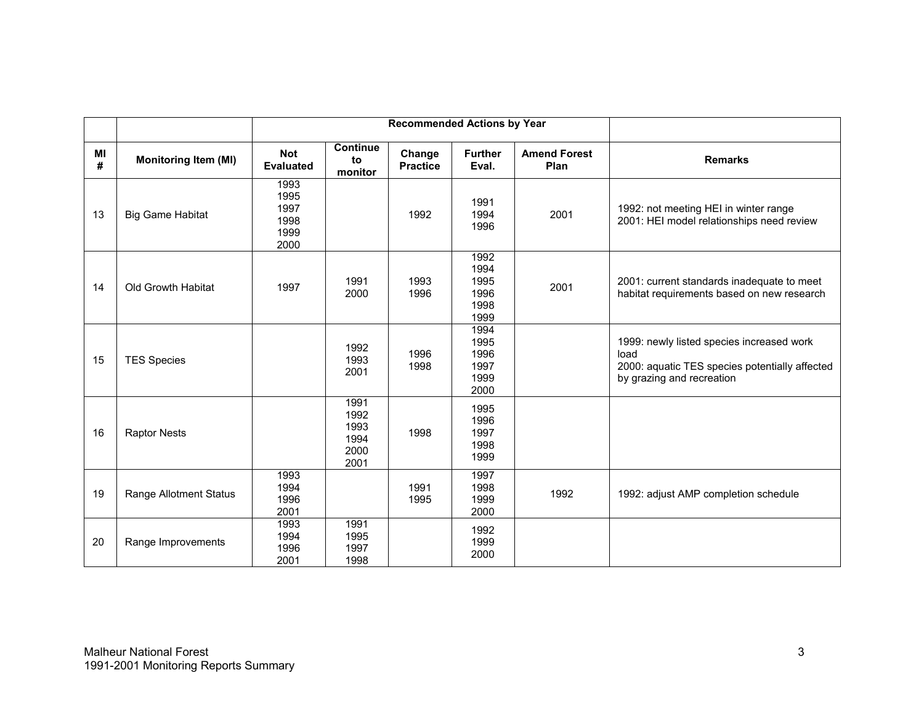|         |                             | Recommended Actions by Year                  |                                              |                           |                                              |                             |                                                                                                                                  |
|---------|-----------------------------|----------------------------------------------|----------------------------------------------|---------------------------|----------------------------------------------|-----------------------------|----------------------------------------------------------------------------------------------------------------------------------|
| MI<br># | <b>Monitoring Item (MI)</b> | <b>Not</b><br><b>Evaluated</b>               | <b>Continue</b><br>to<br>monitor             | Change<br><b>Practice</b> | <b>Further</b><br>Eval.                      | <b>Amend Forest</b><br>Plan | <b>Remarks</b>                                                                                                                   |
| 13      | <b>Big Game Habitat</b>     | 1993<br>1995<br>1997<br>1998<br>1999<br>2000 |                                              | 1992                      | 1991<br>1994<br>1996                         | 2001                        | 1992: not meeting HEI in winter range<br>2001: HEI model relationships need review                                               |
| 14      | Old Growth Habitat          | 1997                                         | 1991<br>2000                                 | 1993<br>1996              | 1992<br>1994<br>1995<br>1996<br>1998<br>1999 | 2001                        | 2001: current standards inadequate to meet<br>habitat requirements based on new research                                         |
| 15      | <b>TES Species</b>          |                                              | 1992<br>1993<br>2001                         | 1996<br>1998              | 1994<br>1995<br>1996<br>1997<br>1999<br>2000 |                             | 1999: newly listed species increased work<br>load<br>2000: aquatic TES species potentially affected<br>by grazing and recreation |
| 16      | <b>Raptor Nests</b>         |                                              | 1991<br>1992<br>1993<br>1994<br>2000<br>2001 | 1998                      | 1995<br>1996<br>1997<br>1998<br>1999         |                             |                                                                                                                                  |
| 19      | Range Allotment Status      | 1993<br>1994<br>1996<br>2001                 |                                              | 1991<br>1995              | 1997<br>1998<br>1999<br>2000                 | 1992                        | 1992: adjust AMP completion schedule                                                                                             |
| 20      | Range Improvements          | 1993<br>1994<br>1996<br>2001                 | 1991<br>1995<br>1997<br>1998                 |                           | 1992<br>1999<br>2000                         |                             |                                                                                                                                  |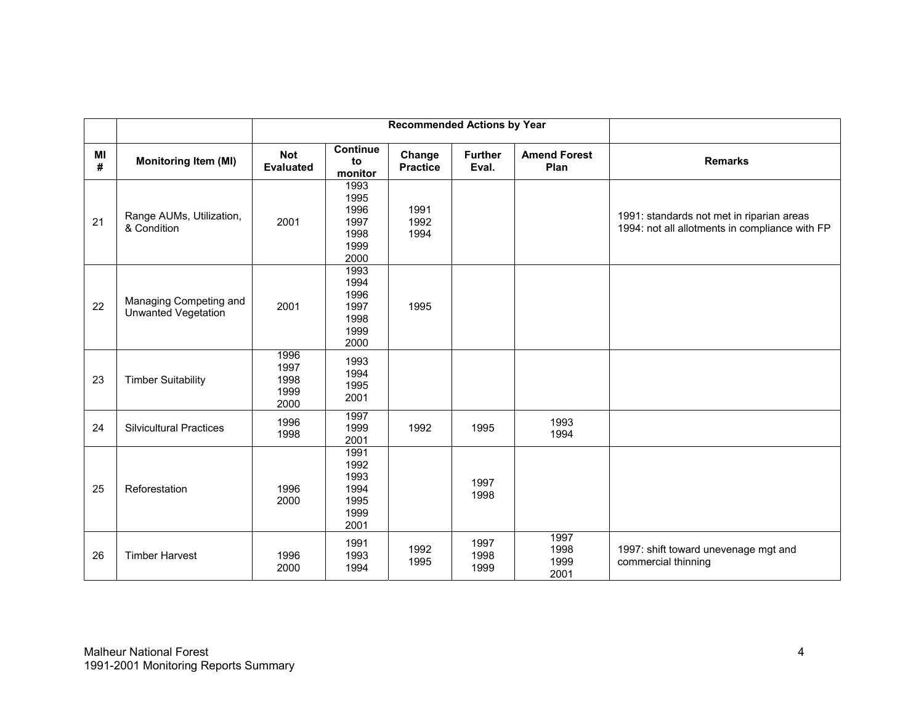|         |                                               |                                      |                                                      | <b>Recommended Actions by Year</b> |                         |                              |                                                                                             |
|---------|-----------------------------------------------|--------------------------------------|------------------------------------------------------|------------------------------------|-------------------------|------------------------------|---------------------------------------------------------------------------------------------|
| MI<br># | <b>Monitoring Item (MI)</b>                   | <b>Not</b><br><b>Evaluated</b>       | Continue<br>to<br>monitor                            | Change<br><b>Practice</b>          | <b>Further</b><br>Eval. | <b>Amend Forest</b><br>Plan  | <b>Remarks</b>                                                                              |
| 21      | Range AUMs, Utilization,<br>& Condition       | 2001                                 | 1993<br>1995<br>1996<br>1997<br>1998<br>1999<br>2000 | 1991<br>1992<br>1994               |                         |                              | 1991: standards not met in riparian areas<br>1994: not all allotments in compliance with FP |
| 22      | Managing Competing and<br>Unwanted Vegetation | 2001                                 | 1993<br>1994<br>1996<br>1997<br>1998<br>1999<br>2000 | 1995                               |                         |                              |                                                                                             |
| 23      | <b>Timber Suitability</b>                     | 1996<br>1997<br>1998<br>1999<br>2000 | 1993<br>1994<br>1995<br>2001                         |                                    |                         |                              |                                                                                             |
| 24      | <b>Silvicultural Practices</b>                | 1996<br>1998                         | 1997<br>1999<br>2001                                 | 1992                               | 1995                    | 1993<br>1994                 |                                                                                             |
| 25      | Reforestation                                 | 1996<br>2000                         | 1991<br>1992<br>1993<br>1994<br>1995<br>1999<br>2001 |                                    | 1997<br>1998            |                              |                                                                                             |
| 26      | <b>Timber Harvest</b>                         | 1996<br>2000                         | 1991<br>1993<br>1994                                 | 1992<br>1995                       | 1997<br>1998<br>1999    | 1997<br>1998<br>1999<br>2001 | 1997: shift toward unevenage mgt and<br>commercial thinning                                 |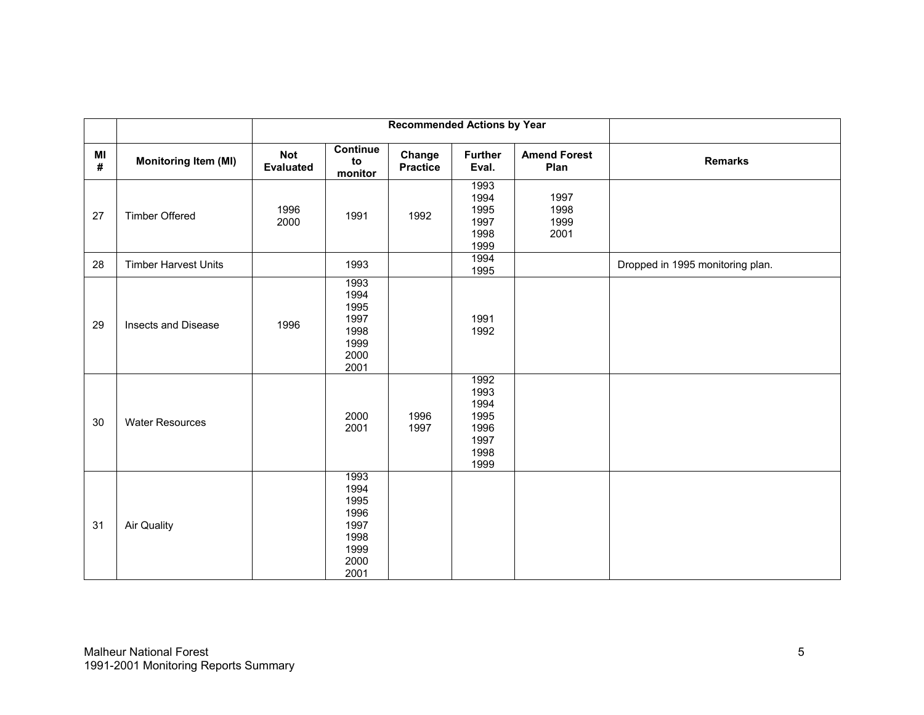|            |                             |                                |                                                                      | <b>Recommended Actions by Year</b> |                                                              |                              |                                  |
|------------|-----------------------------|--------------------------------|----------------------------------------------------------------------|------------------------------------|--------------------------------------------------------------|------------------------------|----------------------------------|
| MI<br>$\#$ | <b>Monitoring Item (MI)</b> | <b>Not</b><br><b>Evaluated</b> | <b>Continue</b><br>to<br>monitor                                     | Change<br><b>Practice</b>          | <b>Further</b><br>Eval.                                      | <b>Amend Forest</b><br>Plan  | <b>Remarks</b>                   |
| 27         | <b>Timber Offered</b>       | 1996<br>2000                   | 1991                                                                 | 1992                               | 1993<br>1994<br>1995<br>1997<br>1998<br>1999                 | 1997<br>1998<br>1999<br>2001 |                                  |
| 28         | <b>Timber Harvest Units</b> |                                | 1993                                                                 |                                    | 1994<br>1995                                                 |                              | Dropped in 1995 monitoring plan. |
| 29         | Insects and Disease         | 1996                           | 1993<br>1994<br>1995<br>1997<br>1998<br>1999<br>2000<br>2001         |                                    | 1991<br>1992                                                 |                              |                                  |
| 30         | <b>Water Resources</b>      |                                | 2000<br>2001                                                         | 1996<br>1997                       | 1992<br>1993<br>1994<br>1995<br>1996<br>1997<br>1998<br>1999 |                              |                                  |
| 31         | <b>Air Quality</b>          |                                | 1993<br>1994<br>1995<br>1996<br>1997<br>1998<br>1999<br>2000<br>2001 |                                    |                                                              |                              |                                  |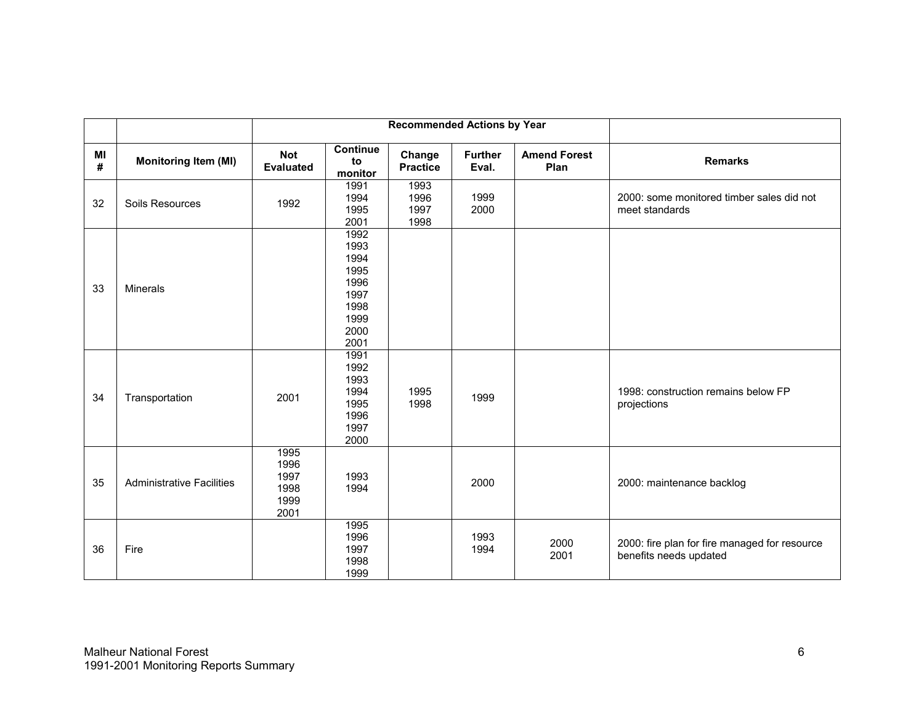|         |                                  |                                              |                                                                              | <b>Recommended Actions by Year</b> |                         |                             |                                                                         |
|---------|----------------------------------|----------------------------------------------|------------------------------------------------------------------------------|------------------------------------|-------------------------|-----------------------------|-------------------------------------------------------------------------|
| MI<br># | Monitoring Item (MI)             | <b>Not</b><br><b>Evaluated</b>               | <b>Continue</b><br>to<br>monitor                                             | Change<br><b>Practice</b>          | <b>Further</b><br>Eval. | <b>Amend Forest</b><br>Plan | <b>Remarks</b>                                                          |
| 32      | Soils Resources                  | 1992                                         | 1991<br>1994<br>1995<br>2001                                                 | 1993<br>1996<br>1997<br>1998       | 1999<br>2000            |                             | 2000: some monitored timber sales did not<br>meet standards             |
| 33      | Minerals                         |                                              | 1992<br>1993<br>1994<br>1995<br>1996<br>1997<br>1998<br>1999<br>2000<br>2001 |                                    |                         |                             |                                                                         |
| 34      | Transportation                   | 2001                                         | 1991<br>1992<br>1993<br>1994<br>1995<br>1996<br>1997<br>2000                 | 1995<br>1998                       | 1999                    |                             | 1998: construction remains below FP<br>projections                      |
| 35      | <b>Administrative Facilities</b> | 1995<br>1996<br>1997<br>1998<br>1999<br>2001 | 1993<br>1994                                                                 |                                    | 2000                    |                             | 2000: maintenance backlog                                               |
| 36      | Fire                             |                                              | 1995<br>1996<br>1997<br>1998<br>1999                                         |                                    | 1993<br>1994            | 2000<br>2001                | 2000: fire plan for fire managed for resource<br>benefits needs updated |